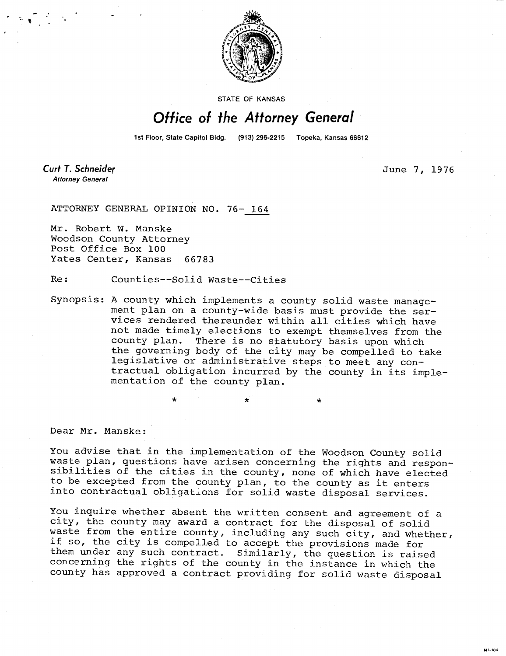

STATE OF KANSAS

## Office of the Attorney General

1st Floor, State Capitol Bldg. (913) 296-2215 Topeka, Kansas 66612

**Curt T. Schneider Attorney General** 

June 7, 1976

ATTORNEY GENERAL OPINION NO. 76- 164

Mr. Robert W. Manske Woodson County Attorney Post Office Box 100 Yates Center, Kansas 66783

Re: Counties--Solid Waste--Cities

Synopsis: A county which implements a county solid waste management plan on a county-wide basis must provide the services rendered thereunder within all cities which have not made timely elections to exempt themselves from the county plan. There is no statutory basis upon which the governing body of the city may be compelled to take legislative or administrative steps to meet any contractual obligation incurred by the county in its implementation of the county plan.

 $\star$   $\star$   $\star$ 

Dear Mr. Manske:

You advise that in the implementation of the Woodson County solid waste plan, questions have arisen concerning the rights and responsibilities of the cities in the county, none of which have elected to be excepted from the county plan, to the county as it enters into contractual obligations for solid waste disposal services.

You inquire whether absent the written consent and agreement of a city, the county may award a contract for the disposal of solid waste from the entire county, including any such city, and whether, if so, the city is compelled to accept the provisions made for them under any such contract. Similarly, the question is raised concerning the rights of the county in the instance in which the county has approved a contract providing for solid waste disposal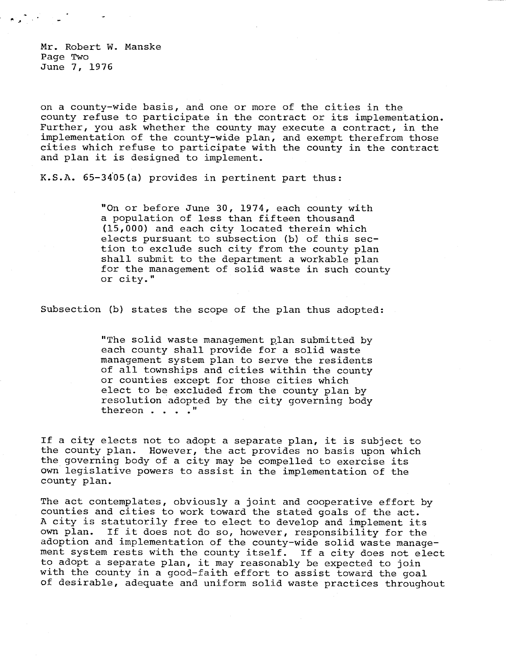Mr. Robert W. Manske Page Two June 7, 1976

on a county-wide basis, and one or more of the cities in the county refuse to participate in the contract or its implementation. Further, you ask whether the county may execute a contract, in the implementation of the county-wide plan, and exempt therefrom those cities which refuse to participate with the county in the contract and plan it is designed to implement.

K.S.A. 65-3405(a) provides in pertinent part thus:

"On or before June 30, 1974, each county with a population of less than fifteen thousand (15,000) and each city located therein which elects pursuant to subsection (b) of this section to exclude such city from the county plan shall submit to the department a workable plan for the management of solid waste in such county or city."

Subsection (b) states the scope of the plan thus adopted:

"The solid waste management plan submitted by each county shall provide for a solid waste management system plan to serve the residents of all townships and cities within the county or counties except for those cities which elect to be excluded from the county plan by resolution adopted by the city governing body thereon . . . ."

If a city elects not to adopt a separate plan, it is subject to the county plan. However, the act provides no basis upon which the governing body of a city may be compelled to exercise its own legislative powers to assist in the implementation of the county plan.

The act contemplates, obviously a joint and cooperative effort by counties and cities to work toward the stated goals of the act. A city is statutorily free to elect to develop and implement its own plan. If it does not do so, however, responsibility for the adoption and implementation of the county-wide solid waste management system rests with the county itself. If a city does not elect to adopt a separate plan, it may reasonably be expected to join with the county in a good-faith effort to assist toward the goal of desirable, adequate and uniform solid waste practices throughout